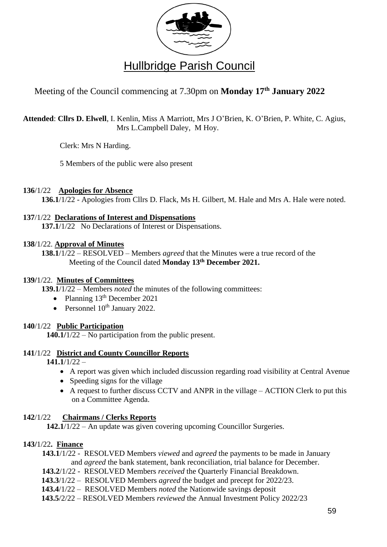

# Meeting of the Council commencing at 7.30pm on **Monday 17 th January 2022**

**Attended**: **Cllrs D. Elwell**, I. Kenlin, Miss A Marriott, Mrs J O'Brien, K. O'Brien, P. White, C. Agius, Mrs L.Campbell Daley, M Hoy.

Clerk: Mrs N Harding.

5 Members of the public were also present

# **136**/1/22 **Apologies for Absence**

**136.1**/1/22 - Apologies from Cllrs D. Flack, Ms H. Gilbert, M. Hale and Mrs A. Hale were noted.

# **137**/1/22 **Declarations of Interest and Dispensations**

**137.1**/1/22 No Declarations of Interest or Dispensations.

#### **138**/1/22. **Approval of Minutes**

**138.1**/1/22 – RESOLVED – Members *agreed* that the Minutes were a true record of the Meeting of the Council dated **Monday 13th December 2021.**

# **139/**1/22. **Minutes of Committees**

**139.1**/1/22 – Members *noted* the minutes of the following committees:

- Planning  $13<sup>th</sup>$  December 2021
- Personnel  $10^{th}$  January 2022.

# **140**/1/22 **Public Participation**

**140.1/**1/22 – No participation from the public present.

# **141**/1/22 **District and County Councillor Reports**

**141.1**/1/22 –

- A report was given which included discussion regarding road visibility at Central Avenue
- Speeding signs for the village
- A request to further discuss CCTV and ANPR in the village ACTION Clerk to put this on a Committee Agenda.

# **142**/1/22 **Chairmans / Clerks Reports**

**142.1**/1/22 – An update was given covering upcoming Councillor Surgeries.

# **143/**1/22**. Finance**

**143.1**/1/22 - RESOLVED Members *viewed* and *agreed* the payments to be made in January and *agreed* the bank statement, bank reconciliation, trial balance for December.

- **143.2**/1/22 RESOLVED Members *received* the Quarterly Financial Breakdown.
- **143.3**/1/22 RESOLVED Members *agreed* the budget and precept for 2022/23.
- **143.4**/1/22 RESOLVED Members *noted* the Nationwide savings deposit
- **143.5**/2/22 RESOLVED Members *reviewed* the Annual Investment Policy 2022/23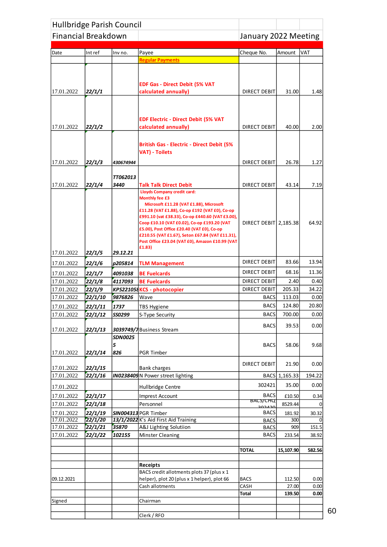| Hullbridge Parish Council  |         |                     |                                                                                                    |                       |               |        |
|----------------------------|---------|---------------------|----------------------------------------------------------------------------------------------------|-----------------------|---------------|--------|
| <b>Financial Breakdown</b> |         |                     |                                                                                                    | January 2022 Meeting  |               |        |
|                            |         |                     |                                                                                                    |                       |               |        |
| Date                       | Int ref | Inv no.             | Payee                                                                                              | Cheque No.            | Amount        | VAT    |
|                            |         |                     | <b>Regular Payments</b>                                                                            |                       |               |        |
|                            |         |                     |                                                                                                    |                       |               |        |
|                            |         |                     | <b>EDF Gas - Direct Debit (5% VAT</b>                                                              |                       |               |        |
| 17.01.2022                 | 22/1/1  |                     | calculated annually)                                                                               | <b>DIRECT DEBIT</b>   | 31.00         | 1.48   |
|                            |         |                     |                                                                                                    |                       |               |        |
|                            |         |                     |                                                                                                    |                       |               |        |
|                            |         |                     | <b>EDF Electric - Direct Debit (5% VAT</b>                                                         |                       |               |        |
| 17.01.2022                 | 22/1/2  |                     | calculated annually)                                                                               | <b>DIRECT DEBIT</b>   | 40.00         | 2.00   |
|                            |         |                     |                                                                                                    |                       |               |        |
|                            |         |                     | <b>British Gas - Electric - Direct Debit (5%</b>                                                   |                       |               |        |
|                            |         |                     | <b>VAT) - Toilets</b>                                                                              |                       |               |        |
| 17.01.2022                 | 22/1/3  | 430674944           |                                                                                                    | <b>DIRECT DEBIT</b>   | 26.78         | 1.27   |
|                            |         |                     |                                                                                                    |                       |               |        |
|                            |         | <b>TT062013</b>     |                                                                                                    |                       |               |        |
| 17.01.2022                 | 22/1/4  | 3440                | <b>Talk Talk Direct Debit</b>                                                                      | DIRECT DEBIT          | 43.14         | 7.19   |
|                            |         |                     | <b>Lloyds Company credit card:</b><br><b>Monthly fee £3</b>                                        |                       |               |        |
|                            |         |                     | Microsoft £11.28 (VAT £1.88), Microsoft                                                            |                       |               |        |
|                            |         |                     | £11.28 (VAT £1.88), Co-op £192 (VAT £0), Co-op                                                     |                       |               |        |
|                            |         |                     | £991.10 (vat £38.33), Co-op £440.60 (VAT £3.00),<br>Coop £10.10 (VAT £0.02), Co-op £193.20 (VAT    | DIRECT DEBIT 2,185.38 |               | 64.92  |
|                            |         |                     | £5.00), Post Office £20.40 (VAT £0), Co-op                                                         |                       |               |        |
|                            |         |                     | £210.55 (VAT £1.67), Seton £67.84 (VAT £11.31),<br>Post Office £23.04 (VAT £0), Amazon £10.99 (VAT |                       |               |        |
|                            |         |                     | £1.83)                                                                                             |                       |               |        |
| 17.01.2022                 | 22/1/5  | 29.12.21            |                                                                                                    |                       |               |        |
| 17.01.2022                 | 22/1/6  | p205814             | <b>TLM Management</b>                                                                              | DIRECT DEBIT          | 83.66         | 13.94  |
| 17.01.2022                 | 22/1/7  | 4091038             | <b>BE Fuelcards</b>                                                                                | <b>DIRECT DEBIT</b>   | 68.16         | 11.36  |
| 17.01.2022                 | 22/1/8  | 4117093             | <b>BE Fuelcards</b>                                                                                | <b>DIRECT DEBIT</b>   | 2.40          | 0.40   |
| 17.01.2022                 | 22/1/9  |                     | KPS221058KCS - photocopier                                                                         | DIRECT DEBIT          | 205.33        | 34.22  |
| 17.01.2022                 | 22/1/10 | 9876826             | Wave                                                                                               | <b>BACS</b>           | 113.03        | 0.00   |
| 17.01.2022                 | 22/1/11 | 1737                | <b>TBS Hygiene</b>                                                                                 | <b>BACS</b>           | 124.80        | 20.80  |
| 17.01.2022                 | 22/1/12 | SS0299              | S-Type Security                                                                                    | <b>BACS</b>           | 700.00        | 0.00   |
|                            |         |                     |                                                                                                    | <b>BACS</b>           | 39.53         | 0.00   |
| 17.01.2022                 | 22/1/13 |                     | 3039749/7 Business Stream                                                                          |                       |               |        |
|                            |         | <b>SDN0025</b><br>5 |                                                                                                    | <b>BACS</b>           | 58.06         | 9.68   |
| 17.01.2022                 | 22/1/14 | 826                 | <b>PGR Timber</b>                                                                                  |                       |               |        |
|                            |         |                     |                                                                                                    |                       |               |        |
| 17.01.2022                 | 22/1/15 |                     | <b>Bank charges</b>                                                                                | DIRECT DEBIT          | 21.90         | 0.00   |
| 17.01.2022                 | 22/1/16 |                     | <b>IN0238409</b> N Power street lighting                                                           |                       | BACS 1,165.33 | 194.22 |
| 17.01.2022                 |         |                     | Hullbridge Centre                                                                                  | 302421                | 35.00         | 0.00   |
| 17.01.2022                 | 22/1/17 |                     | <b>Imprest Account</b>                                                                             | <b>BACS</b>           | £10.50        | 0.34   |
| 17.01.2022                 | 22/1/18 |                     | Personnel                                                                                          | <b>BACS/CHQ</b>       | 8529.44       |        |
| 17.01.2022                 | 22/1/19 |                     | SIN004313 PGR Timber                                                                               | ാറാച<br><b>BACS</b>   | 181.92        | 30.32  |
| 17.01.2022                 | 22/1/20 |                     | 13/1/2022 K's Aid First Aid Training                                                               | <b>BACS</b>           | 300           |        |
| 17.01.2022                 | 22/1/21 | 35870               | A&J Lighting Solutiion                                                                             | <b>BACS</b>           | 909           | 151.5  |
| 17.01.2022                 | 22/1/22 | 102155              | <b>Minster Cleaning</b>                                                                            | <b>BACS</b>           | 233.54        | 38.92  |
|                            |         |                     |                                                                                                    |                       |               |        |
|                            |         |                     |                                                                                                    | <b>TOTAL</b>          | 15,107.90     | 582.56 |
|                            |         |                     | <b>Receipts</b>                                                                                    |                       |               |        |
|                            |         |                     | BACS credit allotments plots 37 (plus x 1                                                          |                       |               |        |
| 09.12.2021                 |         |                     | helper), plot 20 (plus x 1 helper), plot 66                                                        | <b>BACS</b>           | 112.50        | 0.00   |
|                            |         |                     | Cash allotments                                                                                    | CASH                  | 27.00         | 0.00   |
|                            |         |                     |                                                                                                    | Total                 | 139.50        | 0.00   |
| Signed                     |         |                     | Chairman                                                                                           |                       |               |        |
|                            |         |                     | Clerk / RFO                                                                                        |                       |               |        |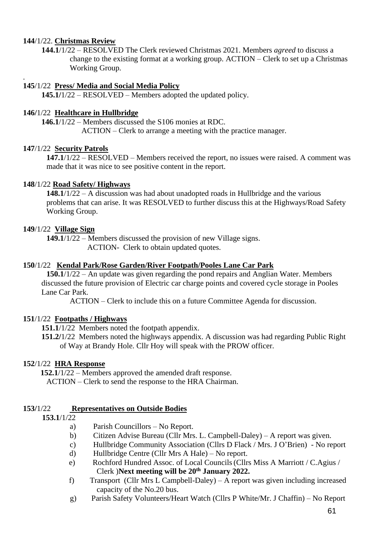#### **144**/1/22. **Christmas Review**

.

**144.1**/1/22 – RESOLVED The Clerk reviewed Christmas 2021. Members *agreed* to discuss a change to the existing format at a working group. ACTION – Clerk to set up a Christmas Working Group.

#### **145**/1/22 **Press/ Media and Social Media Policy**

**145.1/**1/22 – RESOLVED – Members adopted the updated policy.

#### **146/**1/22 **Healthcare in Hullbridge**

**146.1**/1/22 – Members discussed the S106 monies at RDC.

ACTION – Clerk to arrange a meeting with the practice manager.

#### **147**/1/22 **Security Patrols**

**147.1**/1/22 – RESOLVED – Members received the report, no issues were raised. A comment was made that it was nice to see positive content in the report.

#### **148**/1/22 **Road Safety/ Highways**

**148.1**/1/22 – A discussion was had about unadopted roads in Hullbridge and the various problems that can arise. It was RESOLVED to further discuss this at the Highways/Road Safety Working Group.

#### **149**/1/22 **Village Sign**

**149.1**/1/22 – Members discussed the provision of new Village signs. ACTION- Clerk to obtain updated quotes.

#### **150**/1/22 **Kendal Park/Rose Garden/River Footpath/Pooles Lane Car Park**

**150.1**/1/22 – An update was given regarding the pond repairs and Anglian Water. Members discussed the future provision of Electric car charge points and covered cycle storage in Pooles Lane Car Park.

ACTION – Clerk to include this on a future Committee Agenda for discussion.

#### **151**/1/22 **Footpaths / Highways**

**151.1**/1/22 Members noted the footpath appendix.

**151.2/**1/22 Members noted the highways appendix. A discussion was had regarding Public Right of Way at Brandy Hole. Cllr Hoy will speak with the PROW officer.

#### **152**/1/22 **HRA Response**

 **152.1**/1/22 – Members approved the amended draft response. ACTION – Clerk to send the response to the HRA Chairman.

#### **153/**1/22 **Representatives on Outside Bodies**

- **153.1**/1/22
	- a) Parish Councillors No Report.
	- b) Citizen Advise Bureau (Cllr Mrs. L. Campbell-Daley) A report was given.
	- c) Hullbridge Community Association (Cllrs D Flack / Mrs. J O'Brien) No report
	- d) Hullbridge Centre (Cllr Mrs A Hale) No report.
	- e) Rochford Hundred Assoc. of Local Councils(Cllrs Miss A Marriott / C.Agius / Clerk )**Next meeting will be 20th January 2022.**
	- f) Transport (Cllr Mrs L Campbell-Daley) A report was given including increased capacity of the No.20 bus.
	- g) Parish Safety Volunteers/Heart Watch (Cllrs P White/Mr. J Chaffin) No Report